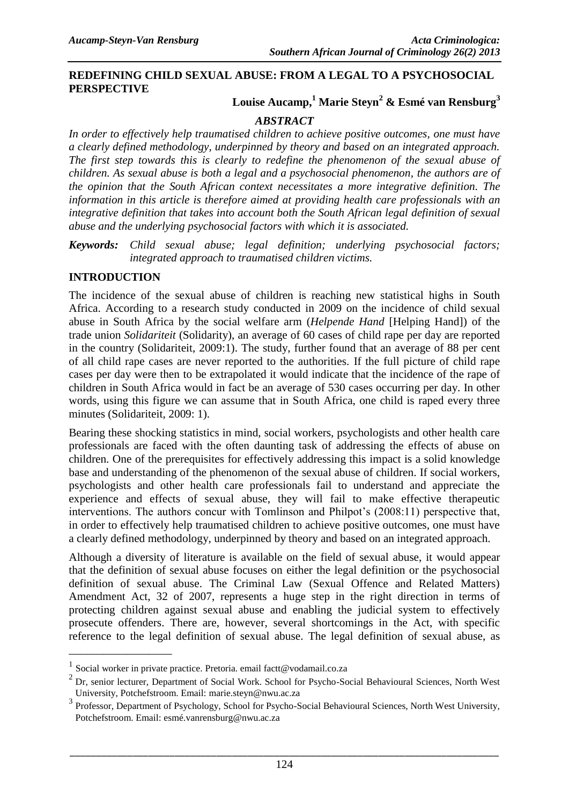### **REDEFINING CHILD SEXUAL ABUSE: FROM A LEGAL TO A PSYCHOSOCIAL PERSPECTIVE**

# **Louise Aucamp,<sup>1</sup> Marie Steyn<sup>2</sup> & Esmé van Rensburg<sup>3</sup>**

### *ABSTRACT*

*In order to effectively help traumatised children to achieve positive outcomes, one must have a clearly defined methodology, underpinned by theory and based on an integrated approach. The first step towards this is clearly to redefine the phenomenon of the sexual abuse of children. As sexual abuse is both a legal and a psychosocial phenomenon, the authors are of the opinion that the South African context necessitates a more integrative definition. The information in this article is therefore aimed at providing health care professionals with an integrative definition that takes into account both the South African legal definition of sexual abuse and the underlying psychosocial factors with which it is associated.* 

*Keywords: Child sexual abuse; legal definition; underlying psychosocial factors; integrated approach to traumatised children victims.*

#### **INTRODUCTION**

\_\_\_\_\_\_\_\_\_\_\_\_\_\_\_\_\_\_

The incidence of the sexual abuse of children is reaching new statistical highs in South Africa. According to a research study conducted in 2009 on the incidence of child sexual abuse in South Africa by the social welfare arm (*Helpende Hand* [Helping Hand]) of the trade union *Solidariteit* (Solidarity), an average of 60 cases of child rape per day are reported in the country (Solidariteit, 2009:1). The study, further found that an average of 88 per cent of all child rape cases are never reported to the authorities. If the full picture of child rape cases per day were then to be extrapolated it would indicate that the incidence of the rape of children in South Africa would in fact be an average of 530 cases occurring per day. In other words, using this figure we can assume that in South Africa, one child is raped every three minutes (Solidariteit, 2009: 1).

Bearing these shocking statistics in mind, social workers, psychologists and other health care professionals are faced with the often daunting task of addressing the effects of abuse on children. One of the prerequisites for effectively addressing this impact is a solid knowledge base and understanding of the phenomenon of the sexual abuse of children. If social workers, psychologists and other health care professionals fail to understand and appreciate the experience and effects of sexual abuse, they will fail to make effective therapeutic interventions. The authors concur with Tomlinson and Philpot's (2008:11) perspective that, in order to effectively help traumatised children to achieve positive outcomes, one must have a clearly defined methodology, underpinned by theory and based on an integrated approach.

Although a diversity of literature is available on the field of sexual abuse, it would appear that the definition of sexual abuse focuses on either the legal definition or the psychosocial definition of sexual abuse. The Criminal Law (Sexual Offence and Related Matters) Amendment Act, 32 of 2007, represents a huge step in the right direction in terms of protecting children against sexual abuse and enabling the judicial system to effectively prosecute offenders. There are, however, several shortcomings in the Act, with specific reference to the legal definition of sexual abuse. The legal definition of sexual abuse, as

<sup>&</sup>lt;sup>1</sup> Social worker in private practice. Pretoria. email [factt@vodamail.co.za](mailto:factt@vodamail.co.za)

<sup>&</sup>lt;sup>2</sup> Dr, senior lecturer, Department of Social Work. School for Psycho-Social Behavioural Sciences, North West University, Potchefstroom. Email: [marie.steyn@nwu.ac.za](mailto:marie.steyn@nwu.ac.za)

<sup>&</sup>lt;sup>3</sup> Professor, Department of Psychology, School for Psycho-Social Behavioural Sciences, North West University, Potchefstroom. Email: [esmé.vanrensburg@nwu.ac.za](mailto:esmé.vanrensburg@nwu.ac.za)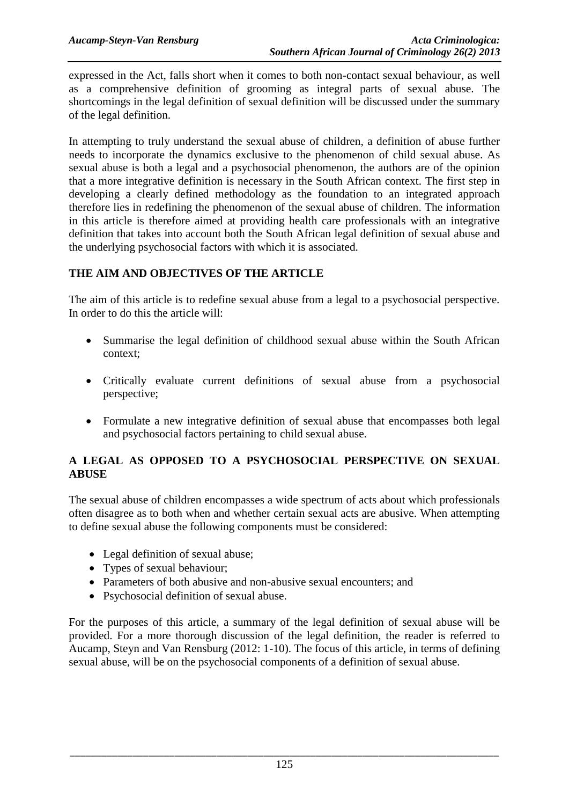expressed in the Act, falls short when it comes to both non-contact sexual behaviour, as well as a comprehensive definition of grooming as integral parts of sexual abuse. The shortcomings in the legal definition of sexual definition will be discussed under the summary of the legal definition.

In attempting to truly understand the sexual abuse of children, a definition of abuse further needs to incorporate the dynamics exclusive to the phenomenon of child sexual abuse. As sexual abuse is both a legal and a psychosocial phenomenon, the authors are of the opinion that a more integrative definition is necessary in the South African context. The first step in developing a clearly defined methodology as the foundation to an integrated approach therefore lies in redefining the phenomenon of the sexual abuse of children. The information in this article is therefore aimed at providing health care professionals with an integrative definition that takes into account both the South African legal definition of sexual abuse and the underlying psychosocial factors with which it is associated.

# **THE AIM AND OBJECTIVES OF THE ARTICLE**

The aim of this article is to redefine sexual abuse from a legal to a psychosocial perspective. In order to do this the article will:

- Summarise the legal definition of childhood sexual abuse within the South African context;
- Critically evaluate current definitions of sexual abuse from a psychosocial perspective;
- Formulate a new integrative definition of sexual abuse that encompasses both legal and psychosocial factors pertaining to child sexual abuse.

# **A LEGAL AS OPPOSED TO A PSYCHOSOCIAL PERSPECTIVE ON SEXUAL ABUSE**

The sexual abuse of children encompasses a wide spectrum of acts about which professionals often disagree as to both when and whether certain sexual acts are abusive. When attempting to define sexual abuse the following components must be considered:

- Legal definition of sexual abuse;
- Types of sexual behaviour:
- Parameters of both abusive and non-abusive sexual encounters: and
- Psychosocial definition of sexual abuse.

For the purposes of this article, a summary of the legal definition of sexual abuse will be provided. For a more thorough discussion of the legal definition, the reader is referred to Aucamp, Steyn and Van Rensburg (2012: 1-10). The focus of this article, in terms of defining sexual abuse, will be on the psychosocial components of a definition of sexual abuse.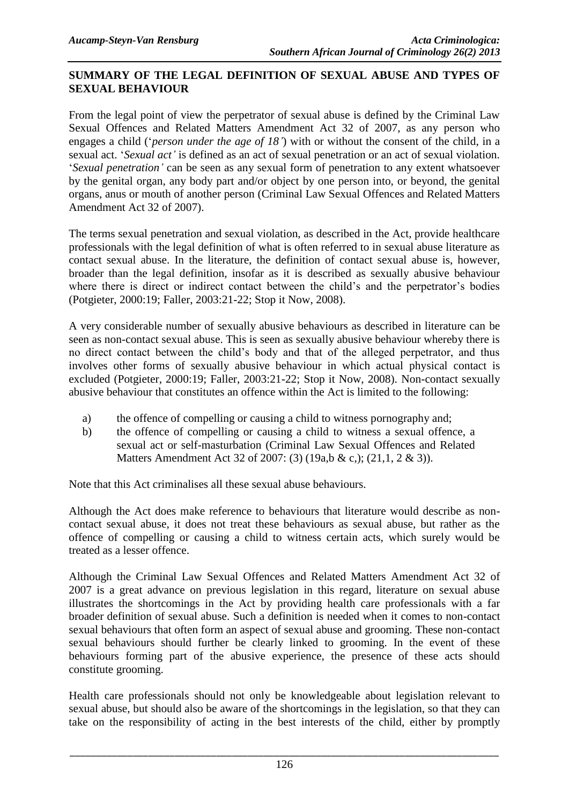# **SUMMARY OF THE LEGAL DEFINITION OF SEXUAL ABUSE AND TYPES OF SEXUAL BEHAVIOUR**

From the legal point of view the perpetrator of sexual abuse is defined by the Criminal Law Sexual Offences and Related Matters Amendment Act 32 of 2007, as any person who engages a child ('*person under the age of 18'*) with or without the consent of the child, in a sexual act. '*Sexual act'* is defined as an act of sexual penetration or an act of sexual violation. '*Sexual penetration'* can be seen as any sexual form of penetration to any extent whatsoever by the genital organ, any body part and/or object by one person into, or beyond, the genital organs, anus or mouth of another person (Criminal Law Sexual Offences and Related Matters Amendment Act 32 of 2007).

The terms sexual penetration and sexual violation, as described in the Act, provide healthcare professionals with the legal definition of what is often referred to in sexual abuse literature as contact sexual abuse. In the literature, the definition of contact sexual abuse is, however, broader than the legal definition, insofar as it is described as sexually abusive behaviour where there is direct or indirect contact between the child's and the perpetrator's bodies (Potgieter, 2000:19; Faller, 2003:21-22; Stop it Now, 2008).

A very considerable number of sexually abusive behaviours as described in literature can be seen as non-contact sexual abuse. This is seen as sexually abusive behaviour whereby there is no direct contact between the child's body and that of the alleged perpetrator, and thus involves other forms of sexually abusive behaviour in which actual physical contact is excluded (Potgieter, 2000:19; Faller, 2003:21-22; Stop it Now, 2008). Non-contact sexually abusive behaviour that constitutes an offence within the Act is limited to the following:

- a) the offence of compelling or causing a child to witness pornography and;
- b) the offence of compelling or causing a child to witness a sexual offence, a sexual act or self-masturbation (Criminal Law Sexual Offences and Related Matters Amendment Act 32 of 2007: (3) (19a,b & c,); (21,1, 2 & 3)).

Note that this Act criminalises all these sexual abuse behaviours.

Although the Act does make reference to behaviours that literature would describe as noncontact sexual abuse, it does not treat these behaviours as sexual abuse, but rather as the offence of compelling or causing a child to witness certain acts, which surely would be treated as a lesser offence.

Although the Criminal Law Sexual Offences and Related Matters Amendment Act 32 of 2007 is a great advance on previous legislation in this regard, literature on sexual abuse illustrates the shortcomings in the Act by providing health care professionals with a far broader definition of sexual abuse. Such a definition is needed when it comes to non-contact sexual behaviours that often form an aspect of sexual abuse and grooming. These non-contact sexual behaviours should further be clearly linked to grooming. In the event of these behaviours forming part of the abusive experience, the presence of these acts should constitute grooming.

Health care professionals should not only be knowledgeable about legislation relevant to sexual abuse, but should also be aware of the shortcomings in the legislation, so that they can take on the responsibility of acting in the best interests of the child, either by promptly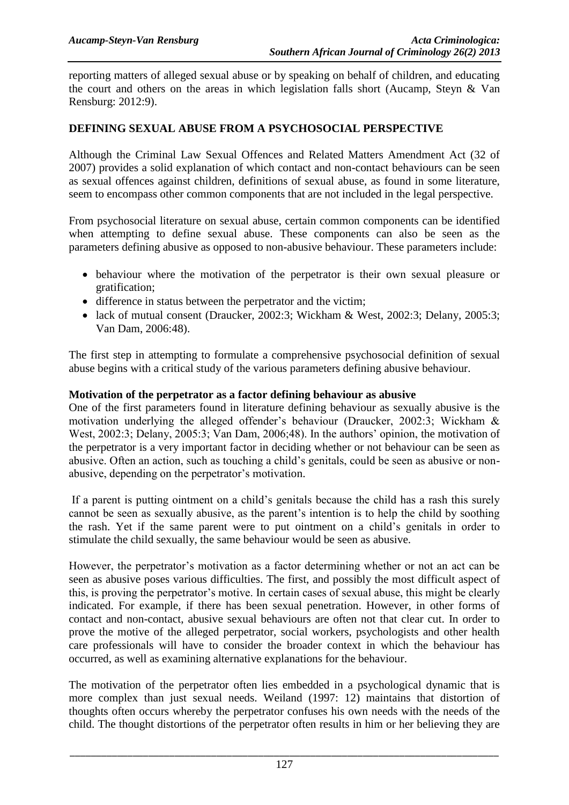reporting matters of alleged sexual abuse or by speaking on behalf of children, and educating the court and others on the areas in which legislation falls short (Aucamp, Steyn & Van Rensburg: 2012:9).

# **DEFINING SEXUAL ABUSE FROM A PSYCHOSOCIAL PERSPECTIVE**

Although the Criminal Law Sexual Offences and Related Matters Amendment Act (32 of 2007) provides a solid explanation of which contact and non-contact behaviours can be seen as sexual offences against children, definitions of sexual abuse, as found in some literature, seem to encompass other common components that are not included in the legal perspective.

From psychosocial literature on sexual abuse, certain common components can be identified when attempting to define sexual abuse. These components can also be seen as the parameters defining abusive as opposed to non-abusive behaviour. These parameters include:

- behaviour where the motivation of the perpetrator is their own sexual pleasure or gratification;
- difference in status between the perpetrator and the victim;
- lack of mutual consent (Draucker, 2002:3; Wickham & West, 2002:3; Delany, 2005:3; Van Dam, 2006:48).

The first step in attempting to formulate a comprehensive psychosocial definition of sexual abuse begins with a critical study of the various parameters defining abusive behaviour.

#### **Motivation of the perpetrator as a factor defining behaviour as abusive**

One of the first parameters found in literature defining behaviour as sexually abusive is the motivation underlying the alleged offender's behaviour (Draucker, 2002:3; Wickham & West, 2002:3; Delany, 2005:3; Van Dam, 2006;48). In the authors' opinion, the motivation of the perpetrator is a very important factor in deciding whether or not behaviour can be seen as abusive. Often an action, such as touching a child's genitals, could be seen as abusive or nonabusive, depending on the perpetrator's motivation.

If a parent is putting ointment on a child's genitals because the child has a rash this surely cannot be seen as sexually abusive, as the parent's intention is to help the child by soothing the rash. Yet if the same parent were to put ointment on a child's genitals in order to stimulate the child sexually, the same behaviour would be seen as abusive.

However, the perpetrator's motivation as a factor determining whether or not an act can be seen as abusive poses various difficulties. The first, and possibly the most difficult aspect of this, is proving the perpetrator's motive. In certain cases of sexual abuse, this might be clearly indicated. For example, if there has been sexual penetration. However, in other forms of contact and non-contact, abusive sexual behaviours are often not that clear cut. In order to prove the motive of the alleged perpetrator, social workers, psychologists and other health care professionals will have to consider the broader context in which the behaviour has occurred, as well as examining alternative explanations for the behaviour.

The motivation of the perpetrator often lies embedded in a psychological dynamic that is more complex than just sexual needs. Weiland (1997: 12) maintains that distortion of thoughts often occurs whereby the perpetrator confuses his own needs with the needs of the child. The thought distortions of the perpetrator often results in him or her believing they are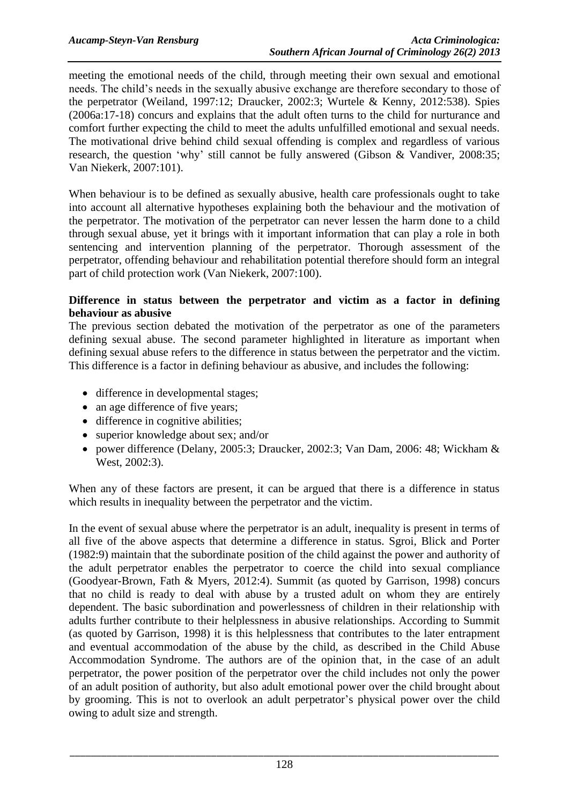meeting the emotional needs of the child, through meeting their own sexual and emotional needs. The child's needs in the sexually abusive exchange are therefore secondary to those of the perpetrator (Weiland, 1997:12; Draucker, 2002:3; Wurtele & Kenny, 2012:538). Spies (2006a:17-18) concurs and explains that the adult often turns to the child for nurturance and comfort further expecting the child to meet the adults unfulfilled emotional and sexual needs. The motivational drive behind child sexual offending is complex and regardless of various research, the question 'why' still cannot be fully answered (Gibson & Vandiver, 2008:35; Van Niekerk, 2007:101).

When behaviour is to be defined as sexually abusive, health care professionals ought to take into account all alternative hypotheses explaining both the behaviour and the motivation of the perpetrator. The motivation of the perpetrator can never lessen the harm done to a child through sexual abuse, yet it brings with it important information that can play a role in both sentencing and intervention planning of the perpetrator. Thorough assessment of the perpetrator, offending behaviour and rehabilitation potential therefore should form an integral part of child protection work (Van Niekerk, 2007:100).

### **Difference in status between the perpetrator and victim as a factor in defining behaviour as abusive**

The previous section debated the motivation of the perpetrator as one of the parameters defining sexual abuse. The second parameter highlighted in literature as important when defining sexual abuse refers to the difference in status between the perpetrator and the victim. This difference is a factor in defining behaviour as abusive, and includes the following:

- difference in developmental stages;
- an age difference of five years;
- difference in cognitive abilities;
- superior knowledge about sex; and/or
- power difference (Delany, 2005:3; Draucker, 2002:3; Van Dam, 2006: 48; Wickham & West, 2002:3).

When any of these factors are present, it can be argued that there is a difference in status which results in inequality between the perpetrator and the victim.

In the event of sexual abuse where the perpetrator is an adult, inequality is present in terms of all five of the above aspects that determine a difference in status. Sgroi, Blick and Porter (1982:9) maintain that the subordinate position of the child against the power and authority of the adult perpetrator enables the perpetrator to coerce the child into sexual compliance (Goodyear-Brown, Fath & Myers, 2012:4). Summit (as quoted by Garrison, 1998) concurs that no child is ready to deal with abuse by a trusted adult on whom they are entirely dependent. The basic subordination and powerlessness of children in their relationship with adults further contribute to their helplessness in abusive relationships. According to Summit (as quoted by Garrison, 1998) it is this helplessness that contributes to the later entrapment and eventual accommodation of the abuse by the child, as described in the Child Abuse Accommodation Syndrome. The authors are of the opinion that, in the case of an adult perpetrator, the power position of the perpetrator over the child includes not only the power of an adult position of authority, but also adult emotional power over the child brought about by grooming. This is not to overlook an adult perpetrator's physical power over the child owing to adult size and strength.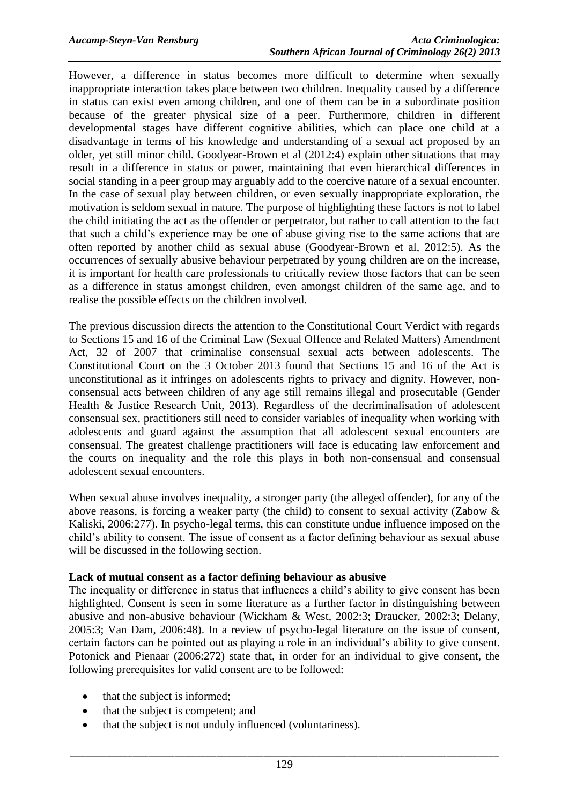However, a difference in status becomes more difficult to determine when sexually inappropriate interaction takes place between two children. Inequality caused by a difference in status can exist even among children, and one of them can be in a subordinate position because of the greater physical size of a peer. Furthermore, children in different developmental stages have different cognitive abilities, which can place one child at a disadvantage in terms of his knowledge and understanding of a sexual act proposed by an older, yet still minor child. Goodyear-Brown et al (2012:4) explain other situations that may result in a difference in status or power, maintaining that even hierarchical differences in social standing in a peer group may arguably add to the coercive nature of a sexual encounter. In the case of sexual play between children, or even sexually inappropriate exploration, the motivation is seldom sexual in nature. The purpose of highlighting these factors is not to label the child initiating the act as the offender or perpetrator, but rather to call attention to the fact that such a child's experience may be one of abuse giving rise to the same actions that are often reported by another child as sexual abuse (Goodyear-Brown et al, 2012:5). As the occurrences of sexually abusive behaviour perpetrated by young children are on the increase, it is important for health care professionals to critically review those factors that can be seen as a difference in status amongst children, even amongst children of the same age, and to realise the possible effects on the children involved.

The previous discussion directs the attention to the Constitutional Court Verdict with regards to Sections 15 and 16 of the Criminal Law (Sexual Offence and Related Matters) Amendment Act, 32 of 2007 that criminalise consensual sexual acts between adolescents. The Constitutional Court on the 3 October 2013 found that Sections 15 and 16 of the Act is unconstitutional as it infringes on adolescents rights to privacy and dignity. However, nonconsensual acts between children of any age still remains illegal and prosecutable (Gender Health & Justice Research Unit, 2013). Regardless of the decriminalisation of adolescent consensual sex, practitioners still need to consider variables of inequality when working with adolescents and guard against the assumption that all adolescent sexual encounters are consensual. The greatest challenge practitioners will face is educating law enforcement and the courts on inequality and the role this plays in both non-consensual and consensual adolescent sexual encounters.

When sexual abuse involves inequality, a stronger party (the alleged offender), for any of the above reasons, is forcing a weaker party (the child) to consent to sexual activity (Zabow & Kaliski, 2006:277). In psycho-legal terms, this can constitute undue influence imposed on the child's ability to consent. The issue of consent as a factor defining behaviour as sexual abuse will be discussed in the following section.

#### **Lack of mutual consent as a factor defining behaviour as abusive**

The inequality or difference in status that influences a child's ability to give consent has been highlighted. Consent is seen in some literature as a further factor in distinguishing between abusive and non-abusive behaviour (Wickham & West, 2002:3; Draucker, 2002:3; Delany, 2005:3; Van Dam, 2006:48). In a review of psycho-legal literature on the issue of consent, certain factors can be pointed out as playing a role in an individual's ability to give consent. Potonick and Pienaar (2006:272) state that, in order for an individual to give consent, the following prerequisites for valid consent are to be followed:

- that the subject is informed;
- that the subject is competent; and
- that the subject is not unduly influenced (voluntariness).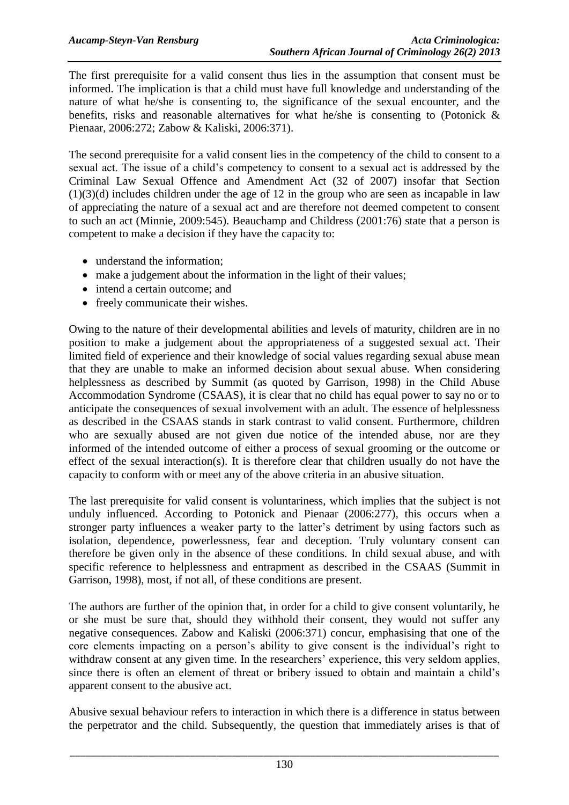The first prerequisite for a valid consent thus lies in the assumption that consent must be informed. The implication is that a child must have full knowledge and understanding of the nature of what he/she is consenting to, the significance of the sexual encounter, and the benefits, risks and reasonable alternatives for what he/she is consenting to (Potonick & Pienaar, 2006:272; Zabow & Kaliski, 2006:371).

The second prerequisite for a valid consent lies in the competency of the child to consent to a sexual act. The issue of a child's competency to consent to a sexual act is addressed by the Criminal Law Sexual Offence and Amendment Act (32 of 2007) insofar that Section  $(1)(3)(d)$  includes children under the age of 12 in the group who are seen as incapable in law of appreciating the nature of a sexual act and are therefore not deemed competent to consent to such an act (Minnie, 2009:545). Beauchamp and Childress (2001:76) state that a person is competent to make a decision if they have the capacity to:

- understand the information:
- make a judgement about the information in the light of their values;
- intend a certain outcome; and
- freely communicate their wishes.

Owing to the nature of their developmental abilities and levels of maturity, children are in no position to make a judgement about the appropriateness of a suggested sexual act. Their limited field of experience and their knowledge of social values regarding sexual abuse mean that they are unable to make an informed decision about sexual abuse. When considering helplessness as described by Summit (as quoted by Garrison, 1998) in the Child Abuse Accommodation Syndrome (CSAAS), it is clear that no child has equal power to say no or to anticipate the consequences of sexual involvement with an adult. The essence of helplessness as described in the CSAAS stands in stark contrast to valid consent. Furthermore, children who are sexually abused are not given due notice of the intended abuse, nor are they informed of the intended outcome of either a process of sexual grooming or the outcome or effect of the sexual interaction(s). It is therefore clear that children usually do not have the capacity to conform with or meet any of the above criteria in an abusive situation.

The last prerequisite for valid consent is voluntariness, which implies that the subject is not unduly influenced. According to Potonick and Pienaar (2006:277), this occurs when a stronger party influences a weaker party to the latter's detriment by using factors such as isolation, dependence, powerlessness, fear and deception. Truly voluntary consent can therefore be given only in the absence of these conditions. In child sexual abuse, and with specific reference to helplessness and entrapment as described in the CSAAS (Summit in Garrison, 1998), most, if not all, of these conditions are present.

The authors are further of the opinion that, in order for a child to give consent voluntarily, he or she must be sure that, should they withhold their consent, they would not suffer any negative consequences. Zabow and Kaliski (2006:371) concur, emphasising that one of the core elements impacting on a person's ability to give consent is the individual's right to withdraw consent at any given time. In the researchers' experience, this very seldom applies, since there is often an element of threat or bribery issued to obtain and maintain a child's apparent consent to the abusive act.

Abusive sexual behaviour refers to interaction in which there is a difference in status between the perpetrator and the child. Subsequently, the question that immediately arises is that of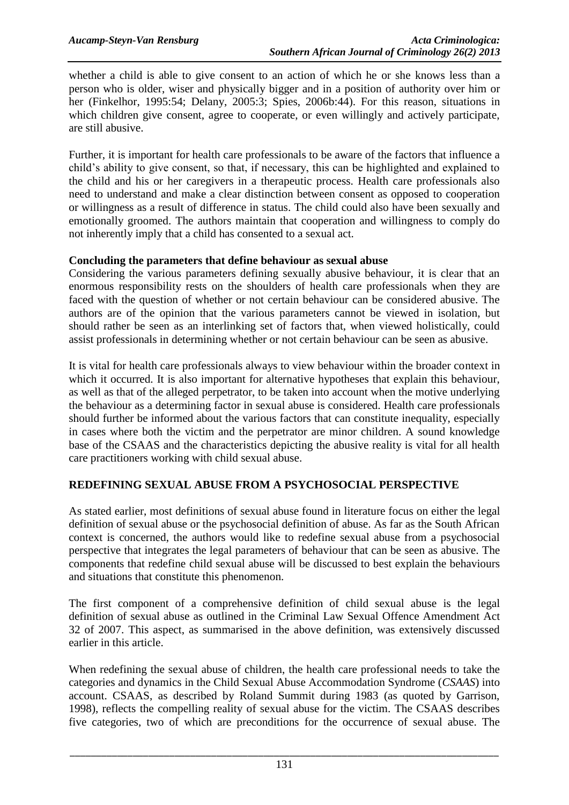whether a child is able to give consent to an action of which he or she knows less than a person who is older, wiser and physically bigger and in a position of authority over him or her (Finkelhor, 1995:54; Delany, 2005:3; Spies, 2006b:44). For this reason, situations in which children give consent, agree to cooperate, or even willingly and actively participate, are still abusive.

Further, it is important for health care professionals to be aware of the factors that influence a child's ability to give consent, so that, if necessary, this can be highlighted and explained to the child and his or her caregivers in a therapeutic process. Health care professionals also need to understand and make a clear distinction between consent as opposed to cooperation or willingness as a result of difference in status. The child could also have been sexually and emotionally groomed. The authors maintain that cooperation and willingness to comply do not inherently imply that a child has consented to a sexual act.

### **Concluding the parameters that define behaviour as sexual abuse**

Considering the various parameters defining sexually abusive behaviour, it is clear that an enormous responsibility rests on the shoulders of health care professionals when they are faced with the question of whether or not certain behaviour can be considered abusive. The authors are of the opinion that the various parameters cannot be viewed in isolation, but should rather be seen as an interlinking set of factors that, when viewed holistically, could assist professionals in determining whether or not certain behaviour can be seen as abusive.

It is vital for health care professionals always to view behaviour within the broader context in which it occurred. It is also important for alternative hypotheses that explain this behaviour, as well as that of the alleged perpetrator, to be taken into account when the motive underlying the behaviour as a determining factor in sexual abuse is considered. Health care professionals should further be informed about the various factors that can constitute inequality, especially in cases where both the victim and the perpetrator are minor children. A sound knowledge base of the CSAAS and the characteristics depicting the abusive reality is vital for all health care practitioners working with child sexual abuse.

# **REDEFINING SEXUAL ABUSE FROM A PSYCHOSOCIAL PERSPECTIVE**

As stated earlier, most definitions of sexual abuse found in literature focus on either the legal definition of sexual abuse or the psychosocial definition of abuse. As far as the South African context is concerned, the authors would like to redefine sexual abuse from a psychosocial perspective that integrates the legal parameters of behaviour that can be seen as abusive. The components that redefine child sexual abuse will be discussed to best explain the behaviours and situations that constitute this phenomenon.

The first component of a comprehensive definition of child sexual abuse is the legal definition of sexual abuse as outlined in the Criminal Law Sexual Offence Amendment Act 32 of 2007. This aspect, as summarised in the above definition, was extensively discussed earlier in this article.

When redefining the sexual abuse of children, the health care professional needs to take the categories and dynamics in the Child Sexual Abuse Accommodation Syndrome (*CSAAS*) into account. CSAAS, as described by Roland Summit during 1983 (as quoted by Garrison, 1998), reflects the compelling reality of sexual abuse for the victim. The CSAAS describes five categories, two of which are preconditions for the occurrence of sexual abuse. The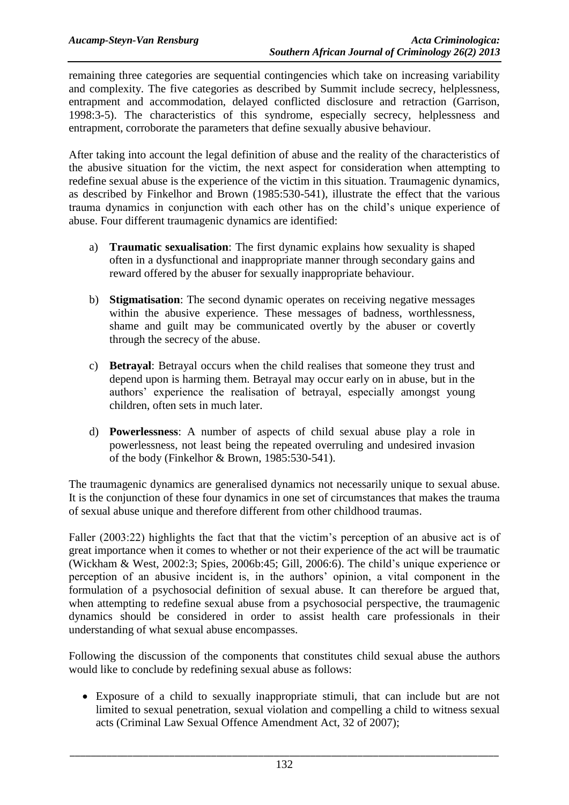remaining three categories are sequential contingencies which take on increasing variability and complexity. The five categories as described by Summit include secrecy, helplessness, entrapment and accommodation, delayed conflicted disclosure and retraction (Garrison, 1998:3-5). The characteristics of this syndrome, especially secrecy, helplessness and entrapment, corroborate the parameters that define sexually abusive behaviour.

After taking into account the legal definition of abuse and the reality of the characteristics of the abusive situation for the victim, the next aspect for consideration when attempting to redefine sexual abuse is the experience of the victim in this situation. Traumagenic dynamics, as described by Finkelhor and Brown (1985:530-541), illustrate the effect that the various trauma dynamics in conjunction with each other has on the child's unique experience of abuse. Four different traumagenic dynamics are identified:

- a) **Traumatic sexualisation**: The first dynamic explains how sexuality is shaped often in a dysfunctional and inappropriate manner through secondary gains and reward offered by the abuser for sexually inappropriate behaviour.
- b) **Stigmatisation**: The second dynamic operates on receiving negative messages within the abusive experience. These messages of badness, worthlessness, shame and guilt may be communicated overtly by the abuser or covertly through the secrecy of the abuse.
- c) **Betrayal**: Betrayal occurs when the child realises that someone they trust and depend upon is harming them. Betrayal may occur early on in abuse, but in the authors' experience the realisation of betrayal, especially amongst young children, often sets in much later.
- d) **Powerlessness**: A number of aspects of child sexual abuse play a role in powerlessness, not least being the repeated overruling and undesired invasion of the body (Finkelhor & Brown, 1985:530-541).

The traumagenic dynamics are generalised dynamics not necessarily unique to sexual abuse. It is the conjunction of these four dynamics in one set of circumstances that makes the trauma of sexual abuse unique and therefore different from other childhood traumas.

Faller (2003:22) highlights the fact that that the victim's perception of an abusive act is of great importance when it comes to whether or not their experience of the act will be traumatic (Wickham & West, 2002:3; Spies, 2006b:45; Gill, 2006:6). The child's unique experience or perception of an abusive incident is, in the authors' opinion, a vital component in the formulation of a psychosocial definition of sexual abuse. It can therefore be argued that, when attempting to redefine sexual abuse from a psychosocial perspective, the traumagenic dynamics should be considered in order to assist health care professionals in their understanding of what sexual abuse encompasses.

Following the discussion of the components that constitutes child sexual abuse the authors would like to conclude by redefining sexual abuse as follows:

 Exposure of a child to sexually inappropriate stimuli, that can include but are not limited to sexual penetration, sexual violation and compelling a child to witness sexual acts (Criminal Law Sexual Offence Amendment Act, 32 of 2007);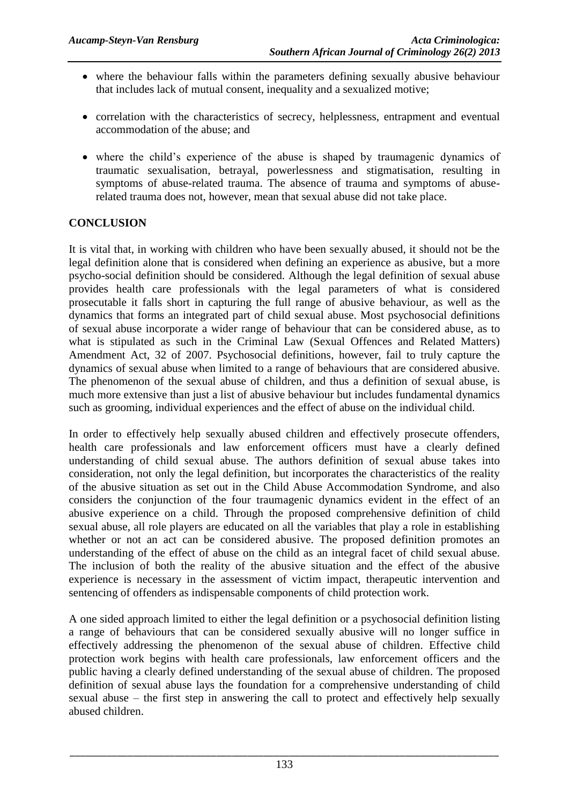- where the behaviour falls within the parameters defining sexually abusive behaviour that includes lack of mutual consent, inequality and a sexualized motive;
- correlation with the characteristics of secrecy, helplessness, entrapment and eventual accommodation of the abuse; and
- where the child's experience of the abuse is shaped by traumagenic dynamics of traumatic sexualisation, betrayal, powerlessness and stigmatisation, resulting in symptoms of abuse-related trauma. The absence of trauma and symptoms of abuserelated trauma does not, however, mean that sexual abuse did not take place.

# **CONCLUSION**

It is vital that, in working with children who have been sexually abused, it should not be the legal definition alone that is considered when defining an experience as abusive, but a more psycho-social definition should be considered. Although the legal definition of sexual abuse provides health care professionals with the legal parameters of what is considered prosecutable it falls short in capturing the full range of abusive behaviour, as well as the dynamics that forms an integrated part of child sexual abuse. Most psychosocial definitions of sexual abuse incorporate a wider range of behaviour that can be considered abuse, as to what is stipulated as such in the Criminal Law (Sexual Offences and Related Matters) Amendment Act, 32 of 2007. Psychosocial definitions, however, fail to truly capture the dynamics of sexual abuse when limited to a range of behaviours that are considered abusive. The phenomenon of the sexual abuse of children, and thus a definition of sexual abuse, is much more extensive than just a list of abusive behaviour but includes fundamental dynamics such as grooming, individual experiences and the effect of abuse on the individual child.

In order to effectively help sexually abused children and effectively prosecute offenders, health care professionals and law enforcement officers must have a clearly defined understanding of child sexual abuse. The authors definition of sexual abuse takes into consideration, not only the legal definition, but incorporates the characteristics of the reality of the abusive situation as set out in the Child Abuse Accommodation Syndrome, and also considers the conjunction of the four traumagenic dynamics evident in the effect of an abusive experience on a child. Through the proposed comprehensive definition of child sexual abuse, all role players are educated on all the variables that play a role in establishing whether or not an act can be considered abusive. The proposed definition promotes an understanding of the effect of abuse on the child as an integral facet of child sexual abuse. The inclusion of both the reality of the abusive situation and the effect of the abusive experience is necessary in the assessment of victim impact, therapeutic intervention and sentencing of offenders as indispensable components of child protection work.

A one sided approach limited to either the legal definition or a psychosocial definition listing a range of behaviours that can be considered sexually abusive will no longer suffice in effectively addressing the phenomenon of the sexual abuse of children. Effective child protection work begins with health care professionals, law enforcement officers and the public having a clearly defined understanding of the sexual abuse of children. The proposed definition of sexual abuse lays the foundation for a comprehensive understanding of child sexual abuse – the first step in answering the call to protect and effectively help sexually abused children.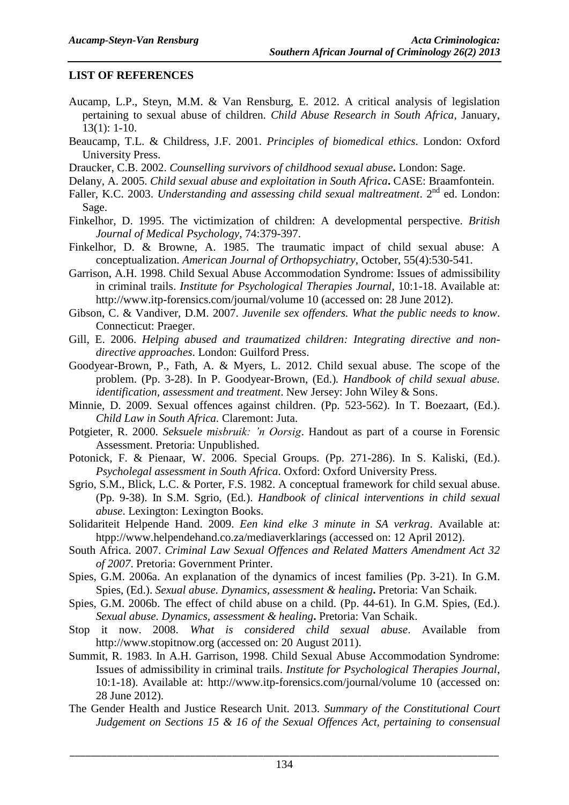# **LIST OF REFERENCES**

- Aucamp, L.P., Steyn, M.M. & Van Rensburg, E. 2012. A critical analysis of legislation pertaining to sexual abuse of children. *Child Abuse Research in South Africa*, January, 13(1): 1-10.
- Beaucamp, T.L. & Childress, J.F. 2001. *Principles of biomedical ethics*. London: Oxford University Press.
- Draucker, C.B. 2002. *Counselling survivors of childhood sexual abuse***.** London: Sage.
- Delany, A. 2005. *Child sexual abuse and exploitation in South Africa***.** CASE: Braamfontein.
- Faller, K.C. 2003. *Understanding and assessing child sexual maltreatment*. 2<sup>nd</sup> ed. London: Sage.
- Finkelhor, D. 1995. The victimization of children: A developmental perspective. *British Journal of Medical Psychology*, 74:379-397.
- Finkelhor, D. & Browne, A. 1985. The traumatic impact of child sexual abuse: A conceptualization. *American Journal of Orthopsychiatry*, October, 55(4):530-541.
- Garrison, A.H. 1998. Child Sexual Abuse Accommodation Syndrome: Issues of admissibility in criminal trails. *Institute for Psychological Therapies Journal*, 10:1-18. Available at: [http://www.itp-forensics.com/journal/volume 10](http://www.itp-forensics.com/journal/volume%2010) (accessed on: 28 June 2012).
- Gibson, C. & Vandiver, D.M. 2007. *Juvenile sex offenders. What the public needs to know*. Connecticut: Praeger.
- Gill, E. 2006. *Helping abused and traumatized children: Integrating directive and nondirective approaches*. London: Guilford Press.
- Goodyear-Brown, P., Fath, A. & Myers, L. 2012. Child sexual abuse. The scope of the problem. (Pp. 3-28). In P. Goodyear-Brown, (Ed.)*. Handbook of child sexual abuse. identification, assessment and treatment*. New Jersey: John Wiley & Sons.
- Minnie, D. 2009. Sexual offences against children. (Pp. 523-562). In T. Boezaart, (Ed.). *Child Law in South Africa.* Claremont: Juta.
- Potgieter, R. 2000. *Seksuele misbruik: 'n Oorsig*. Handout as part of a course in Forensic Assessment. Pretoria: Unpublished.
- Potonick, F. & Pienaar, W. 2006. Special Groups. (Pp. 271-286). In S. Kaliski, (Ed.). *Psycholegal assessment in South Africa*. Oxford: Oxford University Press.
- Sgrio, S.M., Blick, L.C. & Porter, F.S. 1982. A conceptual framework for child sexual abuse. (Pp. 9-38). In S.M. Sgrio, (Ed*.*). *Handbook of clinical interventions in child sexual abuse*. Lexington: Lexington Books.
- Solidariteit Helpende Hand. 2009. *Een kind elke 3 minute in SA verkrag*. Available at: htpp://www.helpendehand.co.za/mediaverklarings (accessed on: 12 April 2012).
- South Africa. 2007. *Criminal Law Sexual Offences and Related Matters Amendment Act 32 of 2007*. Pretoria: Government Printer.
- Spies, G.M. 2006a. An explanation of the dynamics of incest families (Pp. 3-21). In G.M. Spies, (Ed.). *Sexual abuse. Dynamics, assessment & healing***.** Pretoria: Van Schaik.
- Spies, G.M. 2006b. The effect of child abuse on a child. (Pp. 44-61). In G.M. Spies, (Ed.). *Sexual abuse. Dynamics, assessment & healing***.** Pretoria: Van Schaik.
- Stop it now. 2008. *What is considered child sexual abuse*. Available from http://www.stopitnow.org (accessed on: 20 August 2011).
- Summit, R. 1983. In A.H. Garrison, 1998. Child Sexual Abuse Accommodation Syndrome: Issues of admissibility in criminal trails. *Institute for Psychological Therapies Journal*, 10:1-18). Available at: [http://www.itp-forensics.com/journal/volume 10](http://www.itp-forensics.com/journal/volume%2010) (accessed on: 28 June 2012).
- The Gender Health and Justice Research Unit. 2013. *Summary of the Constitutional Court Judgement on Sections 15 & 16 of the Sexual Offences Act, pertaining to consensual*